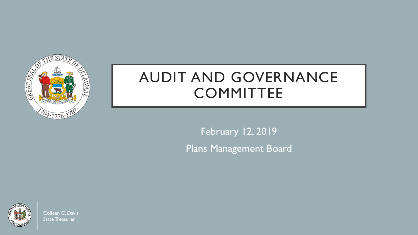

# AUDIT AND GOVERNANCE **COMMITTEE**

February 12, 2019 Plans Management Board



Colleen C. Davis State Treasurer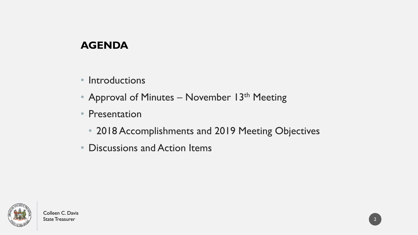# **AGENDA**

- Introductions
- Approval of Minutes November 13<sup>th</sup> Meeting
- Presentation
	- 2018 Accomplishments and 2019 Meeting Objectives
- Discussions and Action Items

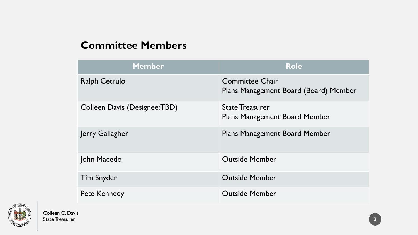#### **Committee Members**

| <b>Member</b>                | <b>Role</b>                                                     |
|------------------------------|-----------------------------------------------------------------|
| <b>Ralph Cetrulo</b>         | <b>Committee Chair</b><br>Plans Management Board (Board) Member |
| Colleen Davis (Designee:TBD) | <b>State Treasurer</b><br><b>Plans Management Board Member</b>  |
| Jerry Gallagher              | <b>Plans Management Board Member</b>                            |
| John Macedo                  | <b>Outside Member</b>                                           |
| <b>Tim Snyder</b>            | <b>Outside Member</b>                                           |
| <b>Pete Kennedy</b>          | <b>Outside Member</b>                                           |

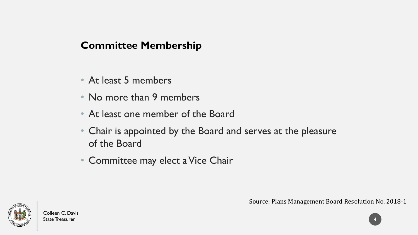# **Committee Membership**

- At least 5 members
- No more than 9 members
- At least one member of the Board
- Chair is appointed by the Board and serves at the pleasure of the Board
- Committee may elect a Vice Chair

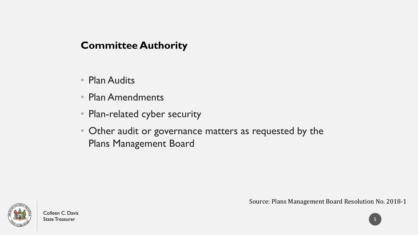## **Committee Authority**

- Plan Audits
- Plan Amendments
- Plan-related cyber security
- Other audit or governance matters as requested by the Plans Management Board



Source: Plans Management Board Resolution No. 2018-1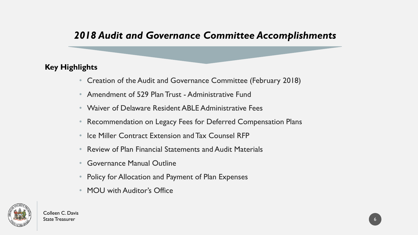## *2018 Audit and Governance Committee Accomplishments*

#### **Key Highlights**

- Creation of the Audit and Governance Committee (February 2018)
- Amendment of 529 Plan Trust Administrative Fund
- Waiver of Delaware Resident ABLE Administrative Fees
- Recommendation on Legacy Fees for Deferred Compensation Plans
- Ice Miller Contract Extension and Tax Counsel RFP
- Review of Plan Financial Statements and Audit Materials
- Governance Manual Outline
- Policy for Allocation and Payment of Plan Expenses
- MOU with Auditor's Office

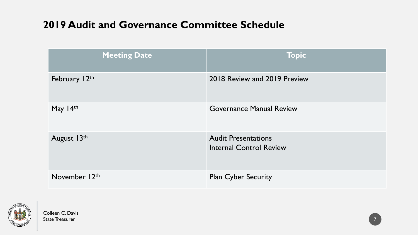# **2019 Audit and Governance Committee Schedule**

| <b>Meeting Date</b> | <b>Topic</b>                                                 |
|---------------------|--------------------------------------------------------------|
| February 12th       | 2018 Review and 2019 Preview                                 |
| May 14th            | <b>Governance Manual Review</b>                              |
| August 13th         | <b>Audit Presentations</b><br><b>Internal Control Review</b> |
| November 12th       | <b>Plan Cyber Security</b>                                   |

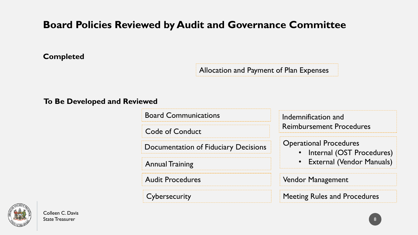# **Board Policies Reviewed by Audit and Governance Committee**

**Completed**

Allocation and Payment of Plan Expenses

**To Be Developed and Reviewed**

Board Communications

Code of Conduct

Documentation of Fiduciary Decisions

Annual Training

Audit Procedures

**Cybersecurity** 

Indemnification and Reimbursement Procedures

Operational Procedures

- Internal (OST Procedures)
- External (Vendor Manuals)

Vendor Management

Meeting Rules and Procedures

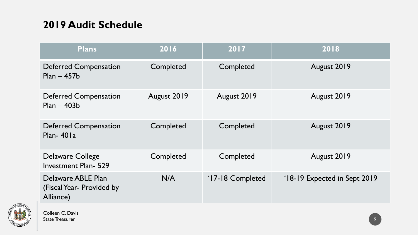# **2019 Audit Schedule**

| <b>Plans</b>                                                 | 2016        | 2017             | 2018                         |
|--------------------------------------------------------------|-------------|------------------|------------------------------|
| <b>Deferred Compensation</b><br>$Plan - 457b$                | Completed   | Completed        | August 2019                  |
| <b>Deferred Compensation</b><br>$Plan - 403b$                | August 2019 | August 2019      | August 2019                  |
| <b>Deferred Compensation</b><br>Plan- $401a$                 | Completed   | Completed        | August 2019                  |
| <b>Delaware College</b><br><b>Investment Plan-529</b>        | Completed   | Completed        | August 2019                  |
| Delaware ABLE Plan<br>(Fiscal Year- Provided by<br>Alliance) | N/A         | '17-18 Completed | '18-19 Expected in Sept 2019 |

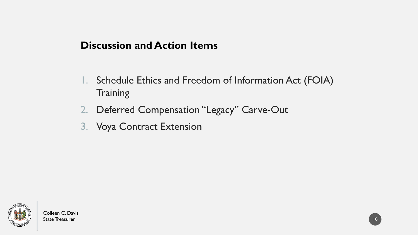## **Discussion and Action Items**

- 1. Schedule Ethics and Freedom of Information Act (FOIA) **Training**
- 2. Deferred Compensation "Legacy" Carve-Out
- 3. Voya Contract Extension

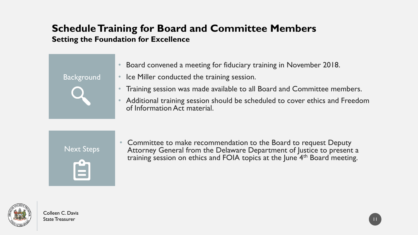#### **Schedule Training for Board and Committee Members Setting the Foundation for Excellence**

- Board convened a meeting for fiduciary training in November 2018.
- Ice Miller conducted the training session.
- Training session was made available to all Board and Committee members.
- Additional training session should be scheduled to cover ethics and Freedom of Information Act material.

Next Steps

**Background** 



• Committee to make recommendation to the Board to request Deputy Attorney General from the Delaware Department of Justice to present a training session on ethics and FOIA topics at the June 4th Board meeting.

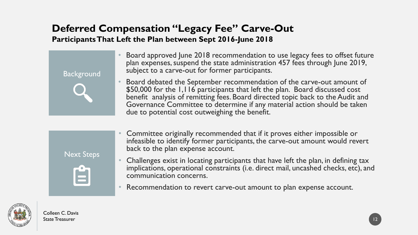## **Deferred Compensation "Legacy Fee" Carve-Out Participants That Left the Plan between Sept 2016-June 2018**



- Board approved June 2018 recommendation to use legacy fees to offset future plan expenses, suspend the state administration 457 fees through June 2019, subject to a carve-out for former participants.
- Board debated the September recommendation of the carve-out amount of \$50,000 for the 1,116 participants that left the plan. Board discussed cost benefit analysis of remitting fees. Board directed topic back to the Audit and Governance Committee to determine if any material action should be taken due to potential cost outweighing the benefit.



- Committee originally recommended that if it proves either impossible or infeasible to identify former participants, the carve-out amount would revert back to the plan expense account.
- Challenges exist in locating participants that have left the plan, in defining tax implications, operational constraints (i.e. direct mail, uncashed checks, etc), and communication concerns.
- Recommendation to revert carve-out amount to plan expense account.

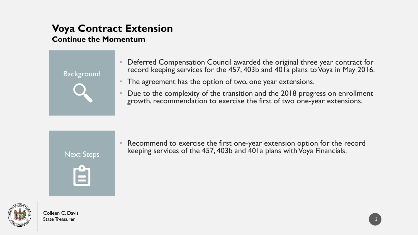# **Voya Contract Extension**

#### **Continue the Momentum**



- Deferred Compensation Council awarded the original three year contract for record keeping services for the 457, 403b and 401a plans to Voya in May 2016.
- The agreement has the option of two, one year extensions.
- Due to the complexity of the transition and the 2018 progress on enrollment growth, recommendation to exercise the first of two one-year extensions.



Recommend to exercise the first one-year extension option for the record keeping services of the 457, 403b and 401a plans with Voya Financials.